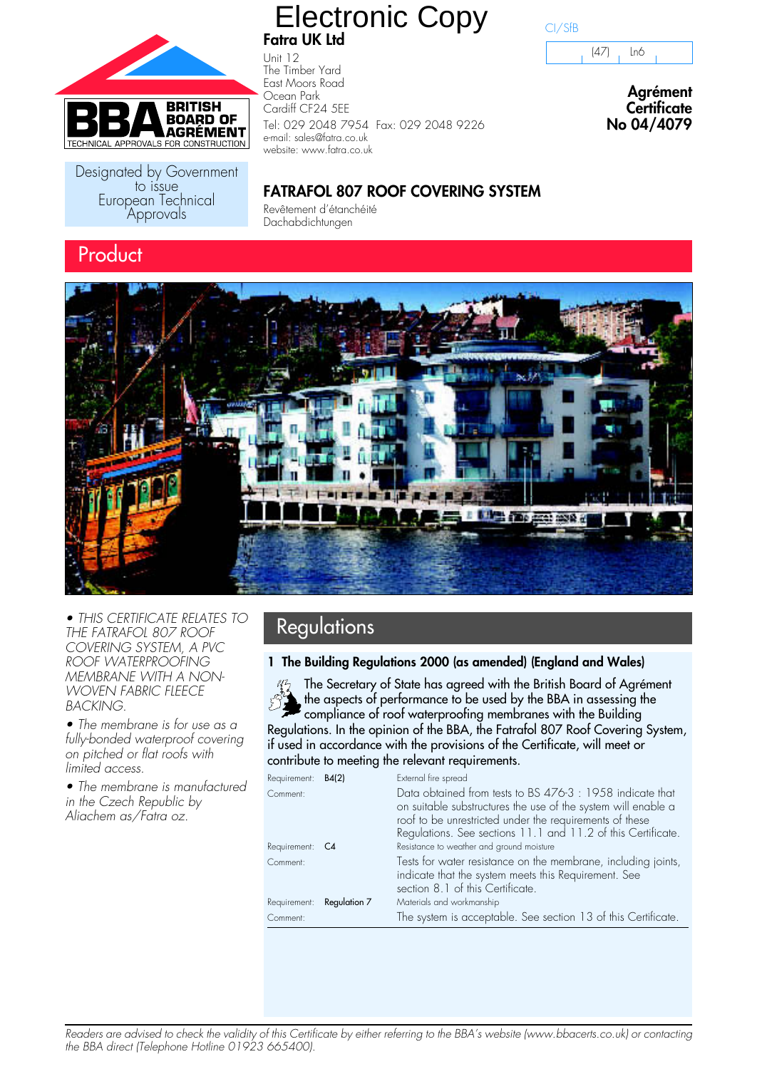

Designated by Government<br>to issue European Technical Approvals

### **Fatra UK Ltd** Electronic Copy

Unit 12 The Timber Yard East Moors Road Ocean Park Cardiff CF24 5EE Tel: 029 2048 7954 Fax: 029 2048 9226 e-mail: sales@fatra.co.uk website: www.fatra.co.uk

### CI/SfB

(47) Ln6

**Agrément Certificate No 04/4079**

### **FATRAFOL 807 ROOF COVERING SYSTEM**

Revêtement d'étanchéité Dachabdichtungen



• THIS CERTIFICATE RELATES TO **Regulations Regulations** THE FATRAFOL 807 ROOF COVERING SYSTEM, A PVC ROOF WATERPROOFING MEMBRANE WITH A NON-WOVEN FABRIC FLEECE BACKING.

• The membrane is for use as a fully-bonded waterproof covering on pitched or flat roofs with limited access.

• The membrane is manufactured in the Czech Republic by Aliachem as/Fatra oz.

### **1 The Building Regulations 2000 (as amended) (England and Wales)**

The Secretary of State has agreed with the British Board of Agrément the aspects of performance to be used by the BBA in assessing the compliance of roof waterproofing membranes with the Building Regulations. In the opinion of the BBA, the Fatrafol 807 Roof Covering System, if used in accordance with the provisions of the Certificate, will meet or contribute to meeting the relevant requirements.

| Requirement: B4(2)        | External fire spread                                                                                                                                                                                                                                  |
|---------------------------|-------------------------------------------------------------------------------------------------------------------------------------------------------------------------------------------------------------------------------------------------------|
| Comment:                  | Data obtained from tests to BS 476-3 : 1958 indicate that<br>on suitable substructures the use of the system will enable a<br>roof to be unrestricted under the requirements of these<br>Regulations. See sections 11.1 and 11.2 of this Certificate. |
| Requirement: C4           | Resistance to weather and ground moisture                                                                                                                                                                                                             |
| Comment:                  | Tests for water resistance on the membrane, including joints,<br>indicate that the system meets this Requirement. See<br>section 8.1 of this Certificate.                                                                                             |
| Requirement: Regulation 7 | Materials and workmanship                                                                                                                                                                                                                             |
| Comment:                  | The system is acceptable. See section 13 of this Certificate.                                                                                                                                                                                         |

Readers are advised to check the validity of this Certificate by either referring to the BBA's website (www.bbacerts.co.uk) or contacting the BBA direct (Telephone Hotline 01923 665400).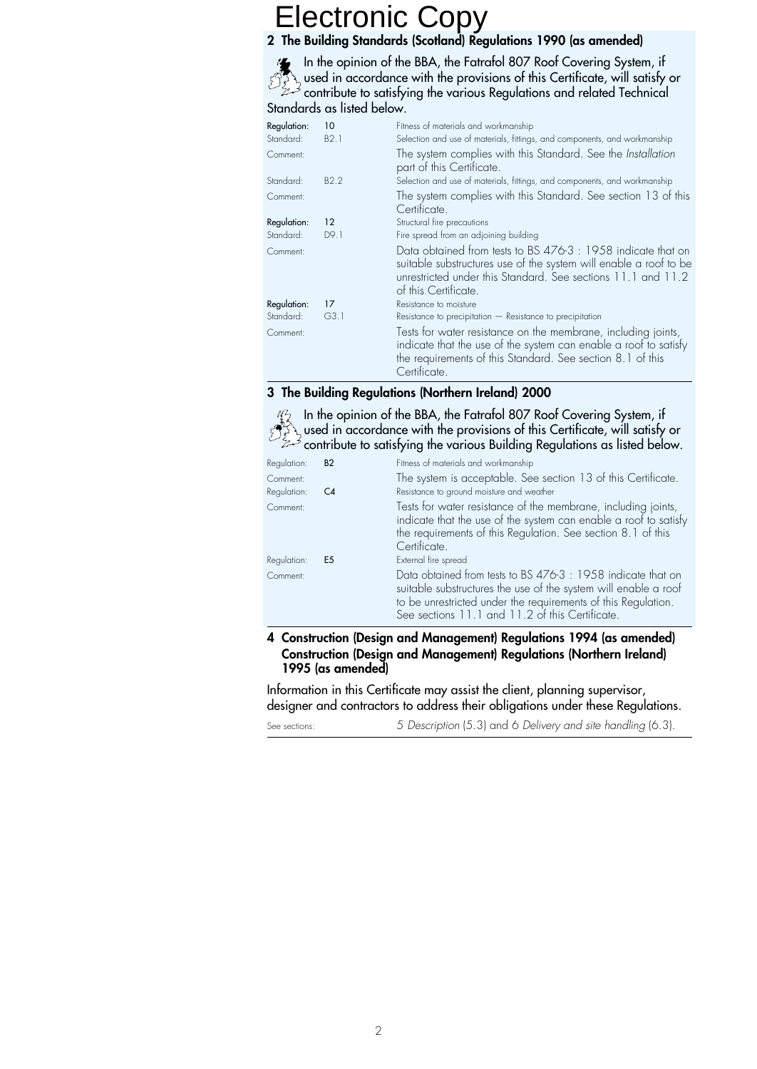### **2 The Building Standards (Scotland) Regulations 1990 (as amended)**

In the opinion of the BBA, the Fatrafol 807 Roof Covering System, if used in accordance with the provisions of this Certificate, will satisfy or contribute to satisfying the various Regulations and related Technical Standards as listed below.

| Regulation:<br>Standard: | 10<br>B2.1        | Fitness of materials and workmanship<br>Selection and use of materials, fittings, and components, and workmanship                                                                                                         |
|--------------------------|-------------------|---------------------------------------------------------------------------------------------------------------------------------------------------------------------------------------------------------------------------|
| Comment:                 |                   | The system complies with this Standard. See the Installation<br>part of this Certificate.                                                                                                                                 |
| Standard:                | B <sub>2.2</sub>  | Selection and use of materials, fittings, and components, and workmanship                                                                                                                                                 |
| Comment:                 |                   | The system complies with this Standard. See section 13 of this<br>Certificate.                                                                                                                                            |
| Regulation:              | $12 \overline{ }$ | Structural fire precautions                                                                                                                                                                                               |
| Standard:                | D9.1              | Fire spread from an adjoining building                                                                                                                                                                                    |
| Comment:                 |                   | Data obtained from tests to BS 476-3 : 1958 indicate that on<br>suitable substructures use of the system will enable a roof to be<br>unrestricted under this Standard. See sections 11.1 and 11.2<br>of this Certificate. |
| Regulation:              | 17                | Resistance to moisture                                                                                                                                                                                                    |
| Standard:                | G3.1              | $Resistance$ to precipitation $-$ Resistance to precipitation                                                                                                                                                             |
| Comment:                 |                   | Tests for water resistance on the membrane, including joints,<br>indicate that the use of the system can enable a roof to satisfy<br>the requirements of this Standard. See section 8.1 of this<br>Certificate            |

### **3 The Building Regulations (Northern Ireland) 2000**

 $\frac{M_2}{M_1}$  In the opinion of the BBA, the Fatrafol 807 Roof Covering System, if used in accordance with the provisions of this Certificate, will satisfy or contribute to satisfying the various Building Regulations as listed below.

| Regulation: | <b>B2</b>      | Fitness of materials and workmanship                                                                                                                                                                                                                |
|-------------|----------------|-----------------------------------------------------------------------------------------------------------------------------------------------------------------------------------------------------------------------------------------------------|
| Comment:    |                | The system is acceptable. See section 13 of this Certificate.                                                                                                                                                                                       |
| Regulation: | C4             | Resistance to ground moisture and weather                                                                                                                                                                                                           |
| Comment:    |                | Tests for water resistance of the membrane, including joints,<br>indicate that the use of the system can enable a roof to satisfy<br>the requirements of this Regulation. See section 8.1 of this<br>Certificate.                                   |
| Regulation: | E <sub>5</sub> | External fire spread                                                                                                                                                                                                                                |
| Comment:    |                | Data obtained from tests to BS 476-3 : 1958 indicate that on<br>suitable substructures the use of the system will enable a roof<br>to be unrestricted under the requirements of this Regulation.<br>See sections 11.1 and 11.2 of this Certificate. |

**4 Construction (Design and Management) Regulations 1994 (as amended) Construction (Design and Management) Regulations (Northern Ireland) 1995 (as amended)**

Information in this Certificate may assist the client, planning supervisor, designer and contractors to address their obligations under these Regulations.

See sections: 5 Description (5.3) and 6 Delivery and site handling (6.3).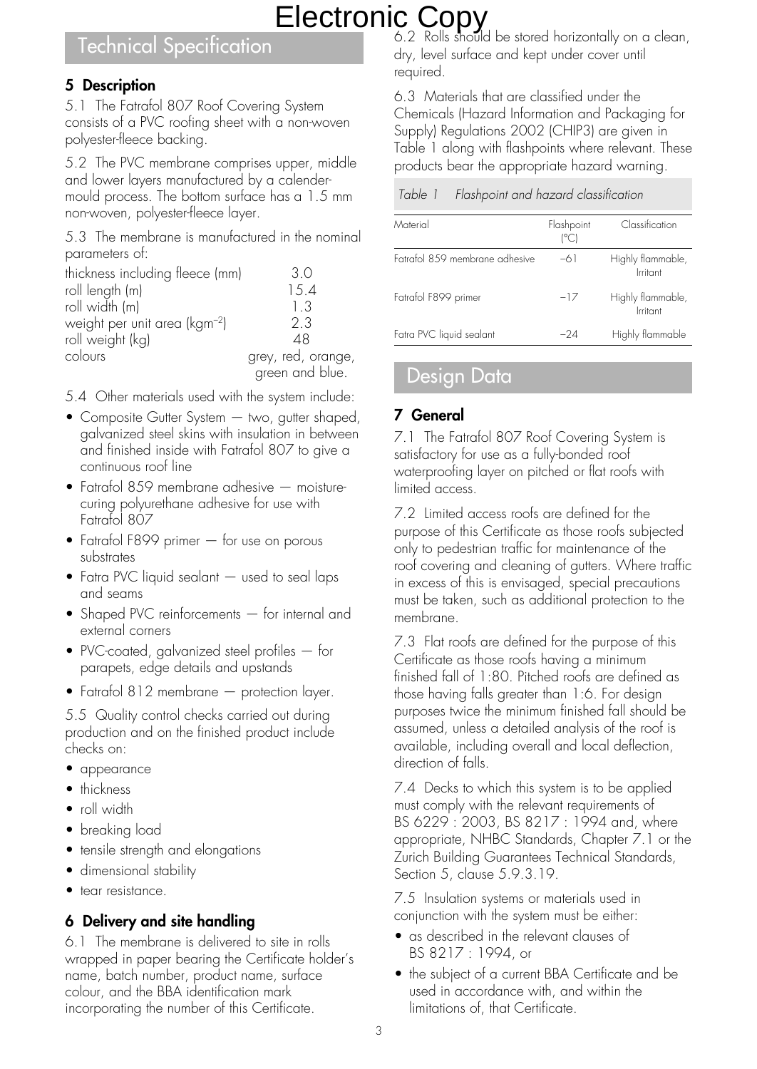### Technical Specification

### **5 Description**

5.1 The Fatrafol 807 Roof Covering System consists of a PVC roofing sheet with a non-woven polyester-fleece backing.

5.2 The PVC membrane comprises upper, middle and lower layers manufactured by a calendermould process. The bottom surface has a 1.5 mm non-woven, polyester-fleece layer.

5.3 The membrane is manufactured in the nominal parameters of:

| thickness including fleece (mm)           | 3.0                |
|-------------------------------------------|--------------------|
| roll length (m)                           | 15.4               |
| roll width (m)                            | 1.3                |
| weight per unit area (kgm <sup>-2</sup> ) | 2.3                |
| roll weight (kg)                          | 48                 |
| colours                                   | grey, red, orange, |
|                                           | green and blue.    |

5.4 Other materials used with the system include:

- Composite Gutter System two, gutter shaped, galvanized steel skins with insulation in between and finished inside with Fatrafol 807 to give a continuous roof line
- Fatrafol 859 membrane adhesive moisturecuring polyurethane adhesive for use with Fatrafol 807
- Fatrafol F899 primer for use on porous substrates
- Fatra PVC liquid sealant used to seal laps and seams
- Shaped PVC reinforcements for internal and external corners
- PVC-coated, galvanized steel profiles for parapets, edge details and upstands
- Fatrafol 812 membrane protection layer.

5.5 Quality control checks carried out during production and on the finished product include checks on:

- appearance
- thickness
- roll width
- breaking load
- tensile strength and elongations
- dimensional stability
- tear resistance.

### **6 Delivery and site handling**

6.1 The membrane is delivered to site in rolls wrapped in paper bearing the Certificate holder's name, batch number, product name, surface colour, and the BBA identification mark incorporating the number of this Certificate.

6.2 Rolls should be stored horizontally on a clean, dry, level surface and kept under cover until required.

6.3 Materials that are classified under the Chemicals (Hazard Information and Packaging for Supply) Regulations 2002 (CHIP3) are given in Table 1 along with flashpoints where relevant. These products bear the appropriate hazard warning.

Table 1 Flashpoint and hazard classification

| Material                        | Flashpoint<br>(°C) | Classification                |
|---------------------------------|--------------------|-------------------------------|
| Eatrafol 8.59 membrane adhesive | -61                | Highly flammable,<br>Irritant |
| Fatrafol F899 primer            | $-17$              | Highly flammable,<br>Irritant |
| Fatra PVC liquid sealant        | -24                | Highly flammable              |

### Design Data

### **7 General**

7.1 The Fatrafol 807 Roof Covering System is satisfactory for use as a fully-bonded roof waterproofing layer on pitched or flat roofs with limited access.

7.2 Limited access roofs are defined for the purpose of this Certificate as those roofs subjected only to pedestrian traffic for maintenance of the roof covering and cleaning of gutters. Where traffic in excess of this is envisaged, special precautions must be taken, such as additional protection to the membrane.

7.3 Flat roofs are defined for the purpose of this Certificate as those roofs having a minimum finished fall of 1:80. Pitched roofs are defined as those having falls greater than 1:6. For design purposes twice the minimum finished fall should be assumed, unless a detailed analysis of the roof is available, including overall and local deflection, direction of falls.

7.4 Decks to which this system is to be applied must comply with the relevant requirements of BS 6229 : 2003, BS 8217 : 1994 and, where appropriate, NHBC Standards, Chapter 7.1 or the Zurich Building Guarantees Technical Standards, Section 5, clause 5.9.3.19.

7.5 Insulation systems or materials used in conjunction with the system must be either:

- as described in the relevant clauses of BS 8217 : 1994, or
- the subject of a current BBA Certificate and be used in accordance with, and within the limitations of, that Certificate.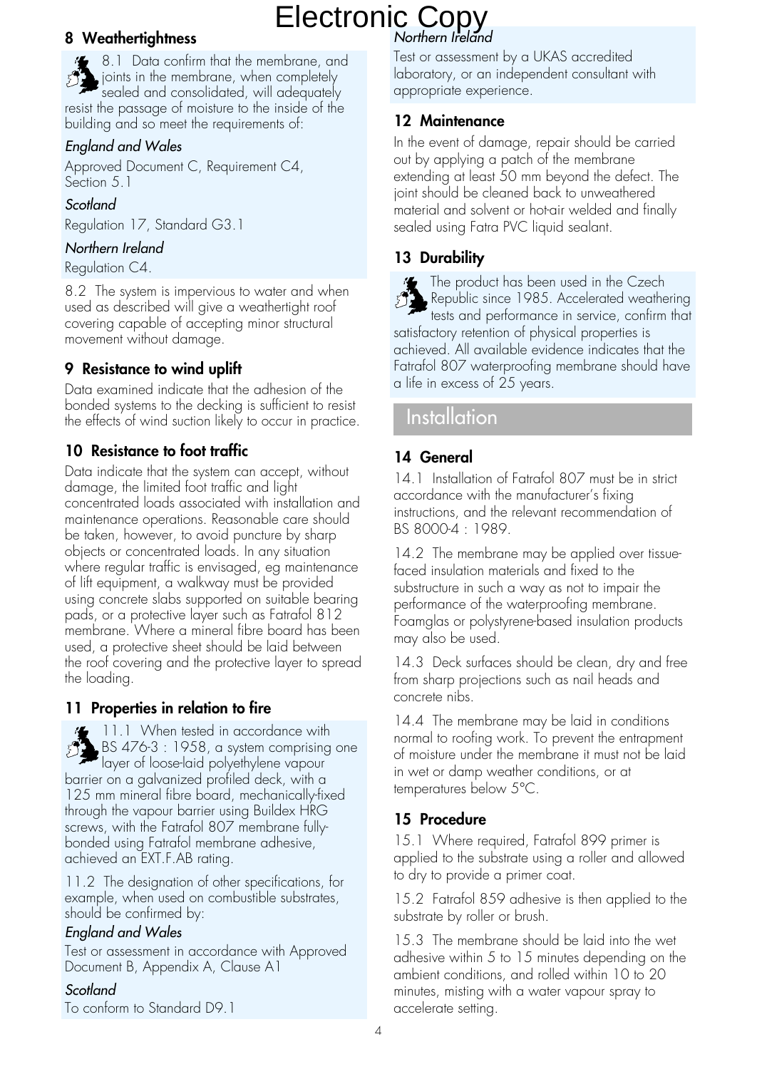### **8 Weathertightness**

8.1 Data confirm that the membrane, and joints in the membrane, when completely sealed and consolidated, will adequately resist the passage of moisture to the inside of the building and so meet the requirements of:

### England and Wales

Approved Document C, Requirement C4, Section 5.1

### Scotland

Regulation 17, Standard G3.1

### Northern Ireland

Regulation C4.

8.2 The system is impervious to water and when used as described will give a weathertight roof covering capable of accepting minor structural movement without damage.

### **9 Resistance to wind uplift**

Data examined indicate that the adhesion of the bonded systems to the decking is sufficient to resist the effects of wind suction likely to occur in practice.

### **10 Resistance to foot traffic**

Data indicate that the system can accept, without damage, the limited foot traffic and light concentrated loads associated with installation and maintenance operations. Reasonable care should be taken, however, to avoid puncture by sharp objects or concentrated loads. In any situation where regular traffic is envisaged, eg maintenance of lift equipment, a walkway must be provided using concrete slabs supported on suitable bearing pads, or a protective layer such as Fatrafol 812 membrane. Where a mineral fibre board has been used, a protective sheet should be laid between the roof covering and the protective layer to spread the loading.

### **11 Properties in relation to fire**

11.1 When tested in accordance with BS 476-3 : 1958, a system comprising one layer of loose-laid polyethylene vapour barrier on a galvanized profiled deck, with a 125 mm mineral fibre board, mechanically-fixed through the vapour barrier using Buildex HRG screws, with the Fatrafol 807 membrane fullybonded using Fatrafol membrane adhesive, achieved an EXT.F.AB rating.

11.2 The designation of other specifications, for example, when used on combustible substrates, should be confirmed by:

### England and Wales

Test or assessment in accordance with Approved Document B, Appendix A, Clause A1

### Scotland

To conform to Standard D9.1

Test or assessment by a UKAS accredited laboratory, or an independent consultant with appropriate experience.

### **12 Maintenance**

In the event of damage, repair should be carried out by applying a patch of the membrane extending at least 50 mm beyond the defect. The joint should be cleaned back to unweathered material and solvent or hot-air welded and finally sealed using Fatra PVC liquid sealant.

### **13 Durability**

The product has been used in the Czech Republic since 1985. Accelerated weathering tests and performance in service, confirm that satisfactory retention of physical properties is achieved. All available evidence indicates that the Fatrafol 807 waterproofing membrane should have a life in excess of 25 years.

### Installation

### **14 General**

14.1 Installation of Fatrafol 807 must be in strict accordance with the manufacturer's fixing instructions, and the relevant recommendation of BS 8000-4 : 1989.

14.2 The membrane may be applied over tissuefaced insulation materials and fixed to the substructure in such a way as not to impair the performance of the waterproofing membrane. Foamglas or polystyrene-based insulation products may also be used.

14.3 Deck surfaces should be clean, dry and free from sharp projections such as nail heads and concrete nibs.

14.4 The membrane may be laid in conditions normal to roofing work. To prevent the entrapment of moisture under the membrane it must not be laid in wet or damp weather conditions, or at temperatures below 5°C.

### **15 Procedure**

15.1 Where required, Fatrafol 899 primer is applied to the substrate using a roller and allowed to dry to provide a primer coat.

15.2 Fatrafol 859 adhesive is then applied to the substrate by roller or brush.

15.3 The membrane should be laid into the wet adhesive within 5 to 15 minutes depending on the ambient conditions, and rolled within 10 to 20 minutes, misting with a water vapour spray to accelerate setting.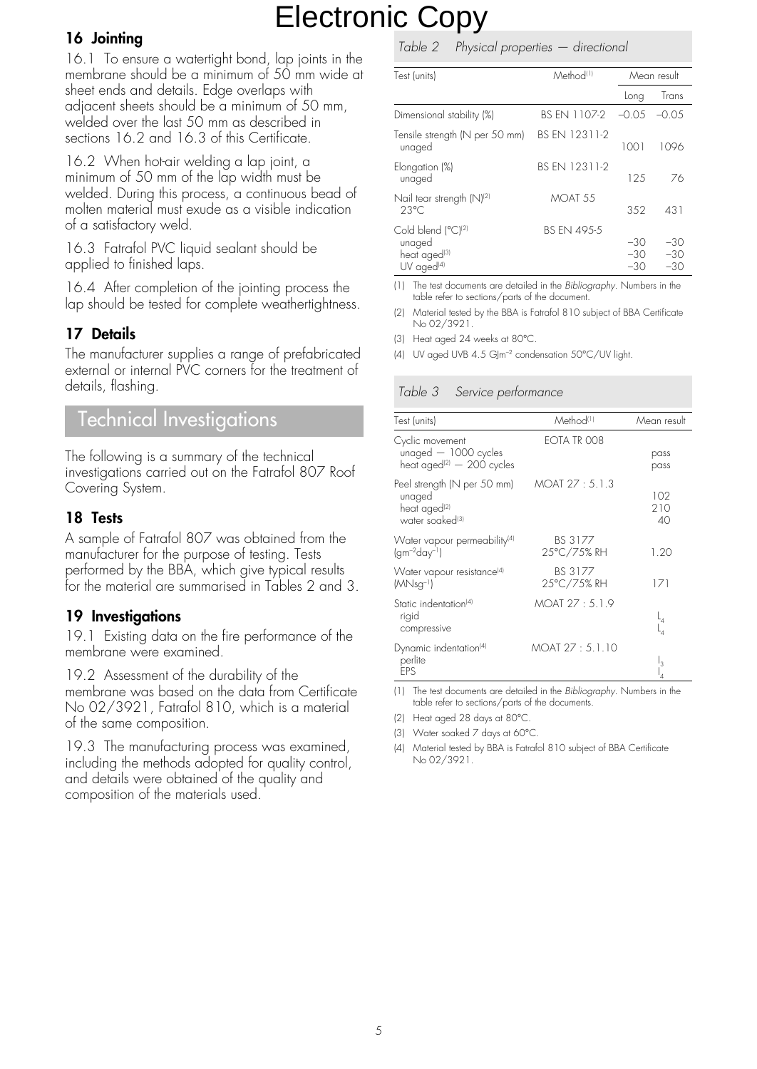### **16 Jointing**

16.1 To ensure a watertight bond, lap joints in the membrane should be a minimum of 50 mm wide at sheet ends and details. Edge overlaps with adjacent sheets should be a minimum of 50 mm, welded over the last 50 mm as described in sections 16.2 and 16.3 of this Certificate.

16.2 When hot-air welding a lap joint, a minimum of 50 mm of the lap width must be welded. During this process, a continuous bead of molten material must exude as a visible indication of a satisfactory weld.

16.3 Fatrafol PVC liquid sealant should be applied to finished laps.

16.4 After completion of the jointing process the lap should be tested for complete weathertightness.

### **17 Details**

The manufacturer supplies a range of prefabricated external or internal PVC corners for the treatment of details, flashing.

### Technical Investigations

The following is a summary of the technical investigations carried out on the Fatrafol 807 Roof Covering System.

### **18 Tests**

A sample of Fatrafol 807 was obtained from the manufacturer for the purpose of testing. Tests performed by the BBA, which give typical results for the material are summarised in Tables 2 and 3.

### **19 Investigations**

19.1 Existing data on the fire performance of the membrane were examined.

19.2 Assessment of the durability of the membrane was based on the data from Certificate No 02/3921, Fatrafol 810, which is a material of the same composition.

19.3 The manufacturing process was examined, including the methods adopted for quality control, and details were obtained of the quality and composition of the materials used.

### Table 2 Physical properties — directional

| Test (units)                                                                                     | Method <sup>(1)</sup> |                         | Mean result             |
|--------------------------------------------------------------------------------------------------|-----------------------|-------------------------|-------------------------|
|                                                                                                  |                       | Long                    | Trans                   |
| Dimensional stability (%)                                                                        | BS FN 1107-2          | $-0.05$                 | -0.05                   |
| Tensile strength (N per 50 mm)<br>unaged                                                         | BS FN 12311-2         | 1001                    | 1096                    |
| Elongation (%)<br>unaged                                                                         | BS FN 12311-2         | 125                     | 76                      |
| Nail tear strength (N) <sup>(2)</sup><br>$23^{\circ}$ C                                          | MOAT <sub>55</sub>    | 352                     | 431                     |
| Cold blend (°C) <sup>(2)</sup><br>unaged<br>heat aged <sup>(3)</sup><br>$UV$ aged <sup>(4)</sup> | <b>BS FN 495-5</b>    | $-30$<br>$-30$<br>$-30$ | $-30$<br>$-30$<br>$-30$ |

(1) The test documents are detailed in the Bibliography. Numbers in the table refer to sections/parts of the document.

(2) Material tested by the BBA is Fatrafol 810 subject of BBA Certificate No 02/3921.

(3) Heat aged 24 weeks at 80°C.

(4) UV aged UVB 4.5 GJm–2 condensation 50°C/UV light.

### Table 3 Service performance

| Test (units)                                                                                                     | Method <sup>(1)</sup>  | Mean result             |
|------------------------------------------------------------------------------------------------------------------|------------------------|-------------------------|
| Cyclic movement<br>unaged $-1000$ cycles<br>heat aged <sup>(2)</sup> $-$ 200 cycles                              | EOTA TR 008            | pass<br>pass            |
| Peel strength (N per 50 mm) MOAT 27 : 5.1.3<br>unaged<br>heat aged <sup>(2)</sup><br>water soaked <sup>(3)</sup> |                        | 102<br>210<br>40        |
| Water vapour permeability <sup>(4)</sup><br>$(gm^{-2}day^{-1})$                                                  | BS 3177<br>25°C/75% RH | 1.20                    |
| Water vapour resistance <sup>[4]</sup><br>$(MNsg^{-1})$                                                          | BS 3177<br>25°C/75% RH | 171                     |
| Static indentation <sup>(4)</sup><br>rigid<br>compressive                                                        | MOAT 27 : 5.1.9        | $L_4$<br>$\mathsf{L}_4$ |
| Dynamic indentation <sup>[4]</sup><br>perlite<br>FPS                                                             | MOAT 27 : 5.1.10       | <sup>13</sup>           |

(1) The test documents are detailed in the Bibliography. Numbers in the table refer to sections/parts of the documents.

(2) Heat aged 28 days at 80°C.

(3) Water soaked 7 days at 60°C.

(4) Material tested by BBA is Fatrafol 810 subject of BBA Certificate No 02/3921.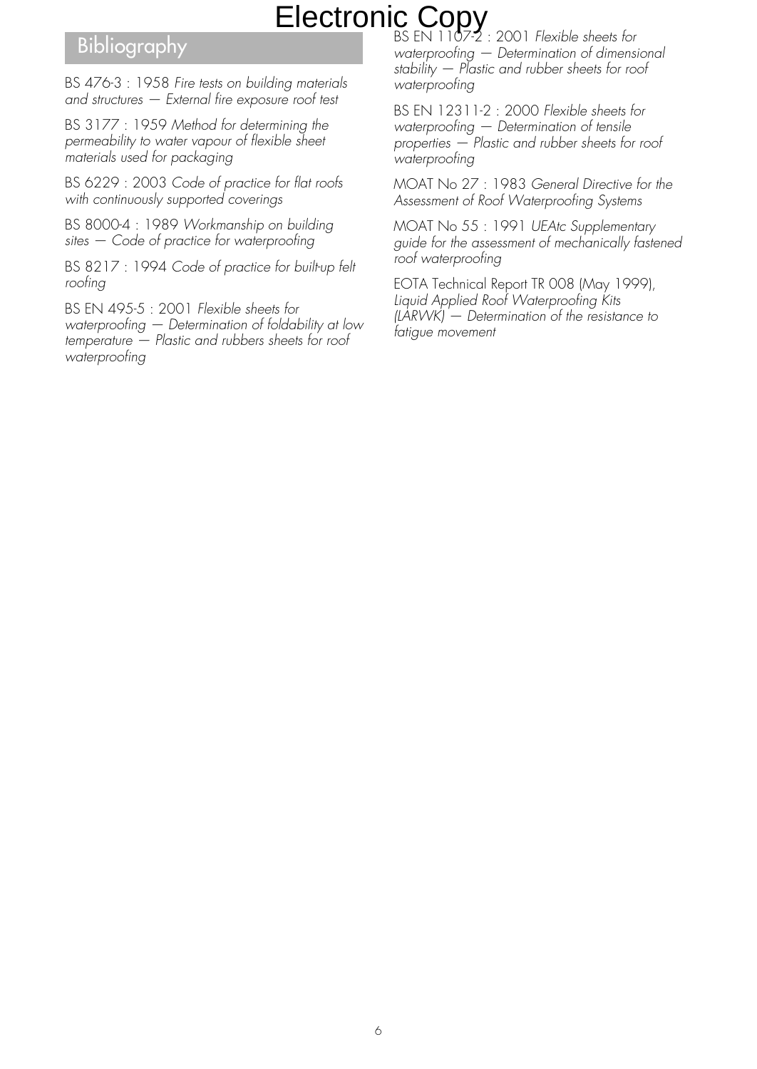### Bibliography

BS 476-3 : 1958 Fire tests on building materials and structures — External fire exposure roof test

BS 3177 : 1959 Method for determining the permeability to water vapour of flexible sheet materials used for packaging

BS 6229 : 2003 Code of practice for flat roofs with continuously supported coverings

BS 8000-4 : 1989 Workmanship on building sites — Code of practice for waterproofing

BS 8217 : 1994 Code of practice for built-up felt roofing

BS EN 495-5 : 2001 Flexible sheets for waterproofing — Determination of foldability at low temperature — Plastic and rubbers sheets for roof waterproofing

BS EN 1107-2 : 2001 Flexible sheets for waterproofing — Determination of dimensional stability — Plastic and rubber sheets for roof waterproofing

BS EN 12311-2 : 2000 Flexible sheets for waterproofing — Determination of tensile properties — Plastic and rubber sheets for roof waterproofing

MOAT No 27 : 1983 General Directive for the Assessment of Roof Waterproofing Systems

MOAT No 55 : 1991 UEAtc Supplementary guide for the assessment of mechanically fastened roof waterproofing

EOTA Technical Report TR 008 (May 1999), Liquid Applied Roof Waterproofing Kits (LARWK) — Determination of the resistance to fatigue movement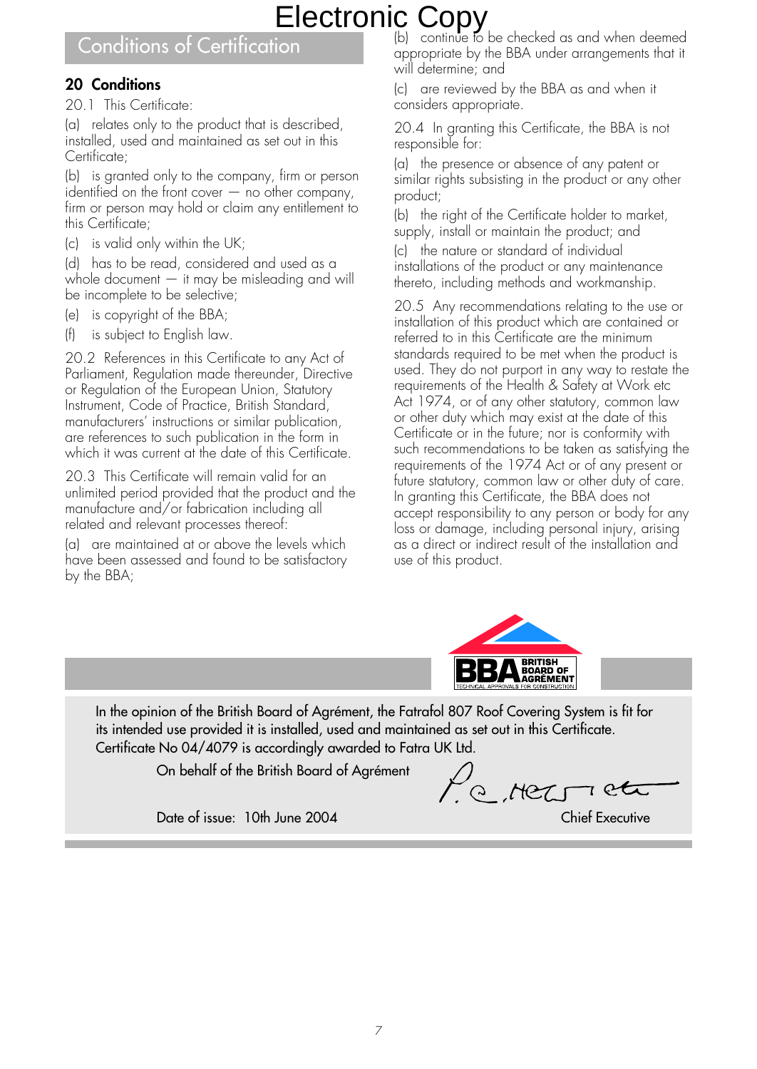### Conditions of Certification

### **20 Conditions**

20.1 This Certificate:

(a) relates only to the product that is described, installed, used and maintained as set out in this Certificate;

(b) is granted only to the company, firm or person identified on the front cover  $-$  no other company, firm or person may hold or claim any entitlement to this Certificate;

(c) is valid only within the UK;

(d) has to be read, considered and used as a whole document — it may be misleading and will be incomplete to be selective;

- (e) is copyright of the BBA;
- (f) is subject to English law.

20.2 References in this Certificate to any Act of Parliament, Regulation made thereunder, Directive or Regulation of the European Union, Statutory Instrument, Code of Practice, British Standard, manufacturers' instructions or similar publication, are references to such publication in the form in which it was current at the date of this Certificate.

20.3 This Certificate will remain valid for an unlimited period provided that the product and the manufacture and/or fabrication including all related and relevant processes thereof:

(a) are maintained at or above the levels which have been assessed and found to be satisfactory by the BBA;

(b) continue to be checked as and when deemed appropriate by the BBA under arrangements that it will determine; and

(c) are reviewed by the BBA as and when it considers appropriate.

20.4 In granting this Certificate, the BBA is not responsible for:

(a) the presence or absence of any patent or similar rights subsisting in the product or any other product;

(b) the right of the Certificate holder to market, supply, install or maintain the product; and

(c) the nature or standard of individual installations of the product or any maintenance thereto, including methods and workmanship.

20.5 Any recommendations relating to the use or installation of this product which are contained or referred to in this Certificate are the minimum standards required to be met when the product is used. They do not purport in any way to restate the requirements of the Health & Safety at Work etc Act 1974, or of any other statutory, common law or other duty which may exist at the date of this Certificate or in the future; nor is conformity with such recommendations to be taken as satisfying the requirements of the 1974 Act or of any present or future statutory, common law or other duty of care. In granting this Certificate, the BBA does not accept responsibility to any person or body for any loss or damage, including personal injury, arising as a direct or indirect result of the installation and use of this product.



In the opinion of the British Board of Agrément, the Fatrafol 807 Roof Covering System is fit for its intended use provided it is installed, used and maintained as set out in this Certificate. Certificate No 04/4079 is accordingly awarded to Fatra UK Ltd.

On behalf of the British Board of Agrément

l'a recorrett

Date of issue: 10th June 2004 Chief Executive